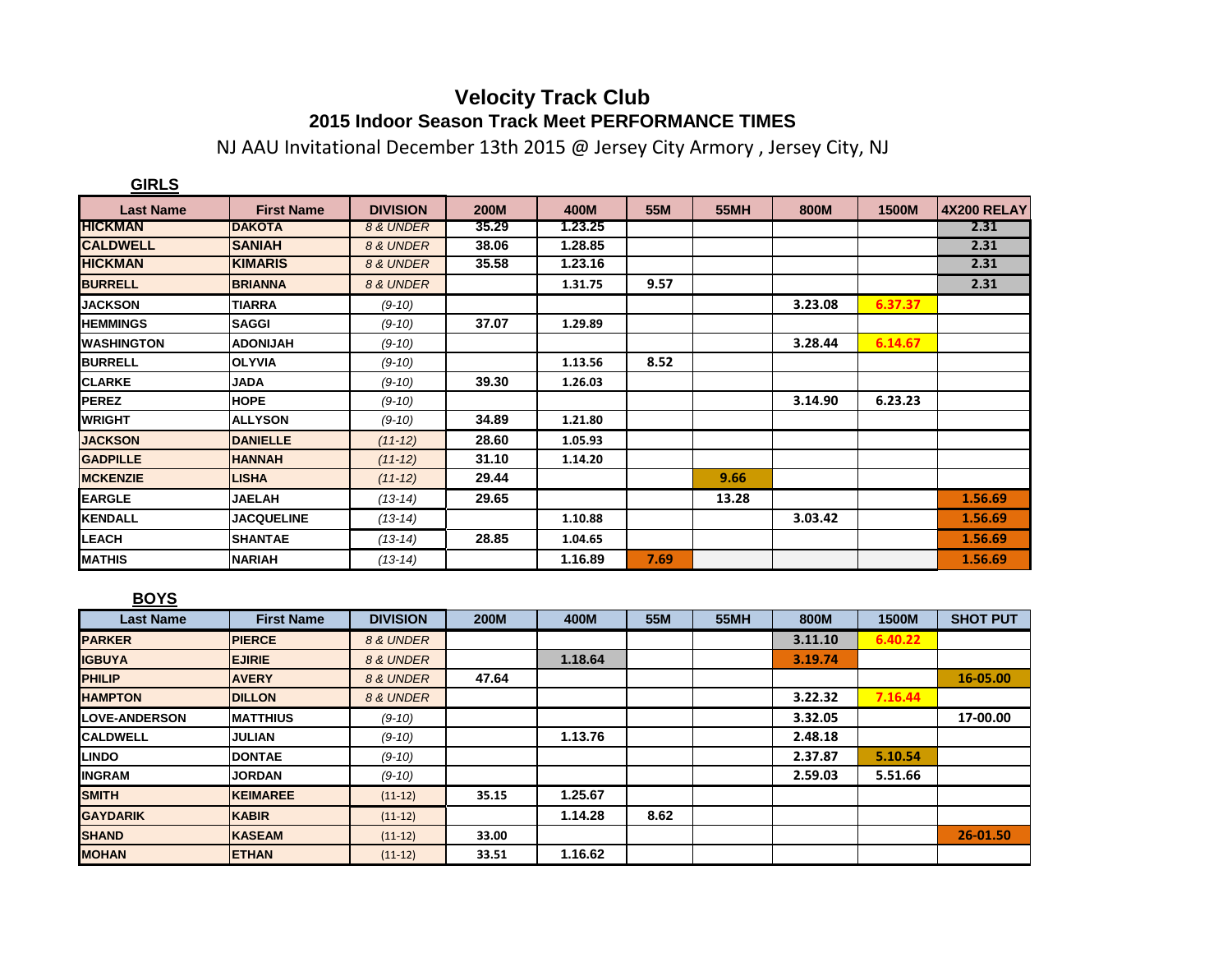## **Velocity Track Club 2015 Indoor Season Track Meet PERFORMANCE TIMES**

NJ AAU Invitational December 13th 2015 @ Jersey City Armory , Jersey City, NJ

| <b>GIRLS</b>       |                   |                 |             |         |      |             |         |              |             |
|--------------------|-------------------|-----------------|-------------|---------|------|-------------|---------|--------------|-------------|
| <b>Last Name</b>   | <b>First Name</b> | <b>DIVISION</b> | <b>200M</b> | 400M    | 55M  | <b>55MH</b> | 800M    | <b>1500M</b> | 4X200 RELAY |
| <b>HICKMAN</b>     | <b>DAKOTA</b>     | 8 & UNDER       | 35.29       | 1.23.25 |      |             |         |              | 2.31        |
| <b>CALDWELL</b>    | <b>SANIAH</b>     | 8 & UNDER       | 38.06       | 1.28.85 |      |             |         |              | 2.31        |
| <b>HICKMAN</b>     | <b>KIMARIS</b>    | 8 & UNDER       | 35.58       | 1.23.16 |      |             |         |              | 2.31        |
| <b>BURRELL</b>     | <b>BRIANNA</b>    | 8 & UNDER       |             | 1.31.75 | 9.57 |             |         |              | 2.31        |
| <b>JACKSON</b>     | <b>TIARRA</b>     | $(9-10)$        |             |         |      |             | 3.23.08 | 6.37.37      |             |
| <b>HEMMINGS</b>    | <b>SAGGI</b>      | $(9-10)$        | 37.07       | 1.29.89 |      |             |         |              |             |
| <b>IWASHINGTON</b> | <b>ADONIJAH</b>   | $(9-10)$        |             |         |      |             | 3.28.44 | 6.14.67      |             |
| <b>BURRELL</b>     | <b>OLYVIA</b>     | $(9-10)$        |             | 1.13.56 | 8.52 |             |         |              |             |
| <b>CLARKE</b>      | <b>JADA</b>       | $(9-10)$        | 39.30       | 1.26.03 |      |             |         |              |             |
| <b>PEREZ</b>       | <b>HOPE</b>       | $(9-10)$        |             |         |      |             | 3.14.90 | 6.23.23      |             |
| <b>WRIGHT</b>      | <b>ALLYSON</b>    | $(9-10)$        | 34.89       | 1.21.80 |      |             |         |              |             |
| <b>JACKSON</b>     | <b>DANIELLE</b>   | $(11-12)$       | 28.60       | 1.05.93 |      |             |         |              |             |
| <b>GADPILLE</b>    | <b>HANNAH</b>     | $(11 - 12)$     | 31.10       | 1.14.20 |      |             |         |              |             |
| <b>MCKENZIE</b>    | <b>LISHA</b>      | $(11-12)$       | 29.44       |         |      | 9.66        |         |              |             |
| <b>EARGLE</b>      | <b>JAELAH</b>     | $(13-14)$       | 29.65       |         |      | 13.28       |         |              | 1.56.69     |
| <b>KENDALL</b>     | <b>JACQUELINE</b> | $(13-14)$       |             | 1.10.88 |      |             | 3.03.42 |              | 1.56.69     |
| <b>LEACH</b>       | <b>SHANTAE</b>    | $(13-14)$       | 28.85       | 1.04.65 |      |             |         |              | 1.56.69     |
| <b>MATHIS</b>      | <b>NARIAH</b>     | $(13-14)$       |             | 1.16.89 | 7.69 |             |         |              | 1.56.69     |

## **BOYS**

| <b>Last Name</b>     | <b>First Name</b> | <b>DIVISION</b> | <b>200M</b> | 400M    | 55M  | <b>55MH</b> | 800M    | 1500M   | <b>SHOT PUT</b> |
|----------------------|-------------------|-----------------|-------------|---------|------|-------------|---------|---------|-----------------|
| <b>PARKER</b>        | <b>PIERCE</b>     | 8 & UNDER       |             |         |      |             | 3.11.10 | 6.40.22 |                 |
| <b>IGBUYA</b>        | <b>EJIRIE</b>     | 8 & UNDER       |             | 1.18.64 |      |             | 3.19.74 |         |                 |
| <b>PHILIP</b>        | <b>AVERY</b>      | 8 & UNDER       | 47.64       |         |      |             |         |         | 16-05.00        |
| <b>HAMPTON</b>       | <b>DILLON</b>     | 8 & UNDER       |             |         |      |             | 3.22.32 | 7.16.44 |                 |
| <b>LOVE-ANDERSON</b> | <b>MATTHIUS</b>   | $(9-10)$        |             |         |      |             | 3.32.05 |         | 17-00.00        |
| <b>CALDWELL</b>      | <b>JULIAN</b>     | $(9-10)$        |             | 1.13.76 |      |             | 2.48.18 |         |                 |
| <b>LINDO</b>         | <b>DONTAE</b>     | $(9-10)$        |             |         |      |             | 2.37.87 | 5.10.54 |                 |
| <b>INGRAM</b>        | <b>JORDAN</b>     | $(9-10)$        |             |         |      |             | 2.59.03 | 5.51.66 |                 |
| <b>SMITH</b>         | <b>KEIMAREE</b>   | $(11-12)$       | 35.15       | 1.25.67 |      |             |         |         |                 |
| <b>GAYDARIK</b>      | <b>KABIR</b>      | $(11-12)$       |             | 1.14.28 | 8.62 |             |         |         |                 |
| <b>SHAND</b>         | <b>KASEAM</b>     | $(11-12)$       | 33.00       |         |      |             |         |         | 26-01.50        |
| <b>MOHAN</b>         | <b>ETHAN</b>      | $(11-12)$       | 33.51       | 1.16.62 |      |             |         |         |                 |